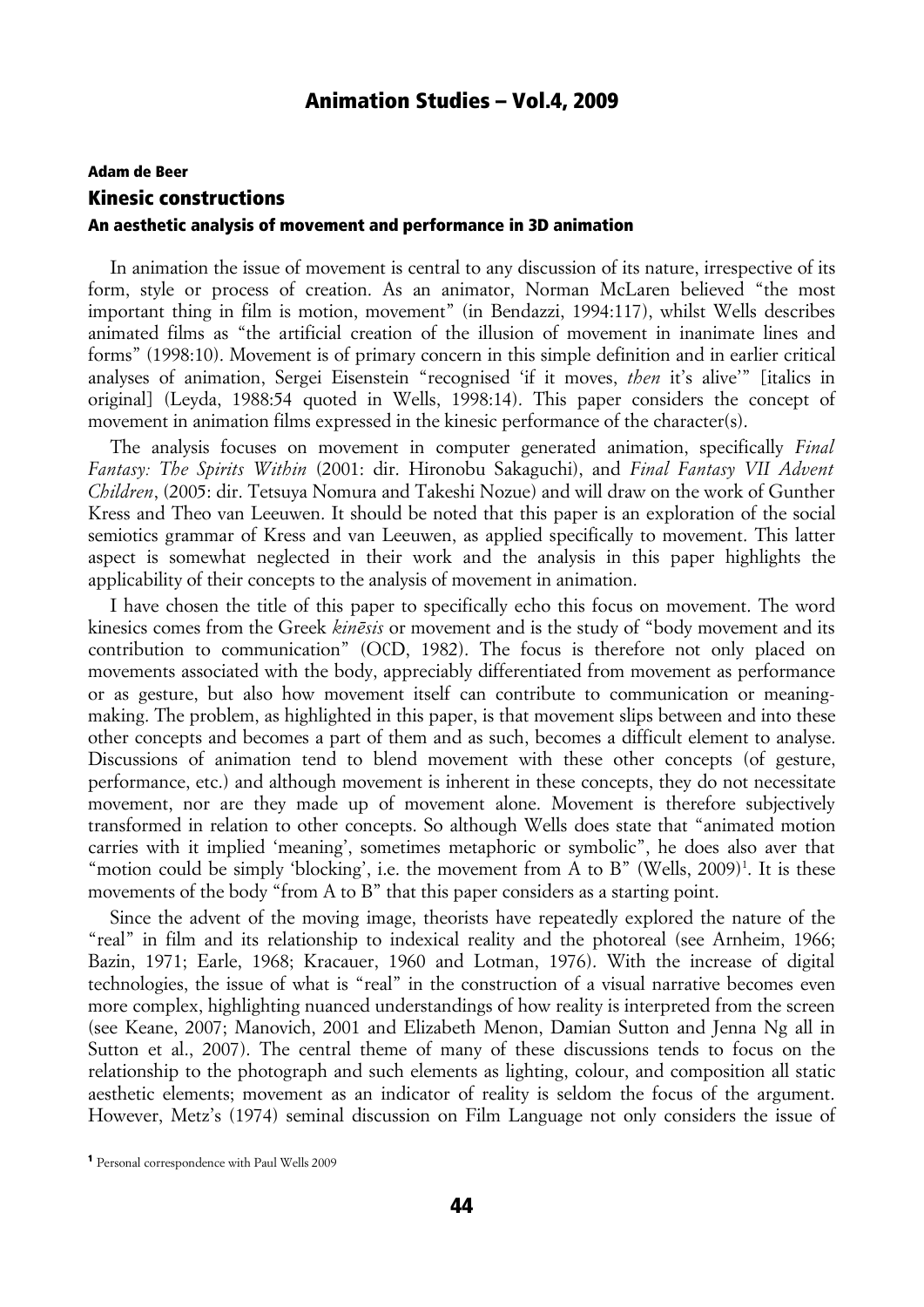# Adam de Beer Kinesic constructions An aesthetic analysis of movement and performance in 3D animation

In animation the issue of movement is central to any discussion of its nature, irrespective of its form, style or process of creation. As an animator, Norman McLaren believed "the most important thing in film is motion, movement" (in Bendazzi, 1994:117), whilst Wells describes animated films as "the artificial creation of the illusion of movement in inanimate lines and forms" (1998:10). Movement is of primary concern in this simple definition and in earlier critical analyses of animation, Sergei Eisenstein "recognised 'if it moves, *then* it's alive'" [italics in original] (Leyda, 1988:54 quoted in Wells, 1998:14). This paper considers the concept of movement in animation films expressed in the kinesic performance of the character(s).

The analysis focuses on movement in computer generated animation, specifically *Final Fantasy: The Spirits Within* (2001: dir. Hironobu Sakaguchi), and *Final Fantasy VII Advent Children*, (2005: dir. Tetsuya Nomura and Takeshi Nozue) and will draw on the work of Gunther Kress and Theo van Leeuwen. It should be noted that this paper is an exploration of the social semiotics grammar of Kress and van Leeuwen, as applied specifically to movement. This latter aspect is somewhat neglected in their work and the analysis in this paper highlights the applicability of their concepts to the analysis of movement in animation.

I have chosen the title of this paper to specifically echo this focus on movement. The word kinesics comes from the Greek *kinēsis* or movement and is the study of "body movement and its contribution to communication" (OCD, 1982). The focus is therefore not only placed on movements associated with the body, appreciably differentiated from movement as performance or as gesture, but also how movement itself can contribute to communication or meaningmaking. The problem, as highlighted in this paper, is that movement slips between and into these other concepts and becomes a part of them and as such, becomes a difficult element to analyse. Discussions of animation tend to blend movement with these other concepts (of gesture, performance, etc.) and although movement is inherent in these concepts, they do not necessitate movement, nor are they made up of movement alone. Movement is therefore subjectively transformed in relation to other concepts. So although Wells does state that "animated motion carries with it implied 'meaning', sometimes metaphoric or symbolic", he does also aver that "motion could be simply 'blocking', i.e. the movement from A to B" (Wells, 2009)<sup>1</sup>. It is these movements of the body "from A to B" that this paper considers as a starting point.

Since the advent of the moving image, theorists have repeatedly explored the nature of the "real" in film and its relationship to indexical reality and the photoreal (see Arnheim, 1966; Bazin, 1971; Earle, 1968; Kracauer, 1960 and Lotman, 1976). With the increase of digital technologies, the issue of what is "real" in the construction of a visual narrative becomes even more complex, highlighting nuanced understandings of how reality is interpreted from the screen (see Keane, 2007; Manovich, 2001 and Elizabeth Menon, Damian Sutton and Jenna Ng all in Sutton et al., 2007). The central theme of many of these discussions tends to focus on the relationship to the photograph and such elements as lighting, colour, and composition all static aesthetic elements; movement as an indicator of reality is seldom the focus of the argument. However, Metz's (1974) seminal discussion on Film Language not only considers the issue of

<sup>1</sup> Personal correspondence with Paul Wells 2009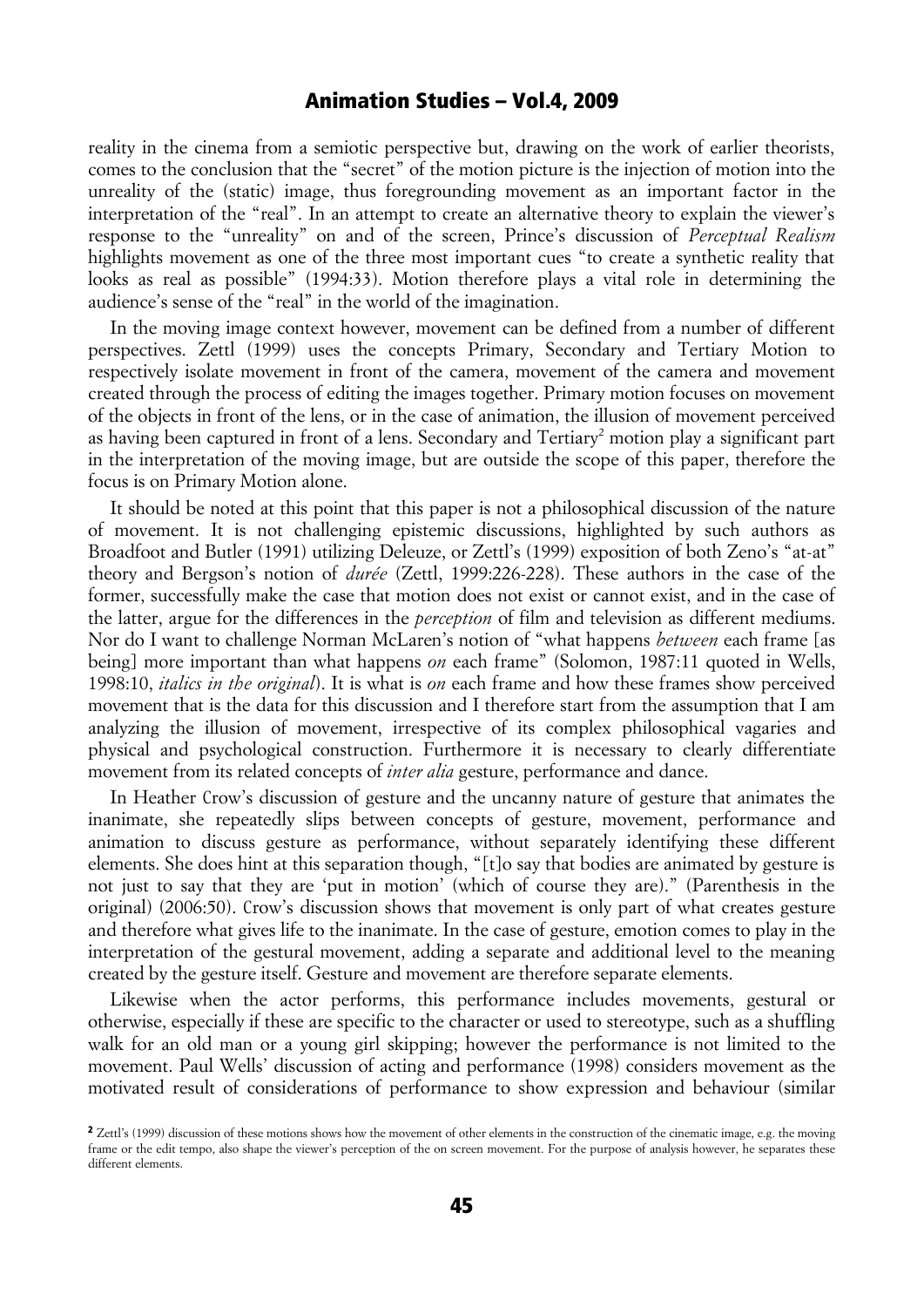reality in the cinema from a semiotic perspective but, drawing on the work of earlier theorists, comes to the conclusion that the "secret" of the motion picture is the injection of motion into the unreality of the (static) image, thus foregrounding movement as an important factor in the interpretation of the "real". In an attempt to create an alternative theory to explain the viewer's response to the "unreality" on and of the screen, Prince's discussion of *Perceptual Realism* highlights movement as one of the three most important cues "to create a synthetic reality that looks as real as possible" (1994:33). Motion therefore plays a vital role in determining the audience's sense of the "real" in the world of the imagination.

In the moving image context however, movement can be defined from a number of different perspectives. Zettl (1999) uses the concepts Primary, Secondary and Tertiary Motion to respectively isolate movement in front of the camera, movement of the camera and movement created through the process of editing the images together. Primary motion focuses on movement of the objects in front of the lens, or in the case of animation, the illusion of movement perceived as having been captured in front of a lens. Secondary and Tertiary<sup>2</sup> motion play a significant part in the interpretation of the moving image, but are outside the scope of this paper, therefore the focus is on Primary Motion alone.

It should be noted at this point that this paper is not a philosophical discussion of the nature of movement. It is not challenging epistemic discussions, highlighted by such authors as Broadfoot and Butler (1991) utilizing Deleuze, or Zettl's (1999) exposition of both Zeno's "at-at" theory and Bergson's notion of *durée* (Zettl, 1999:226-228). These authors in the case of the former, successfully make the case that motion does not exist or cannot exist, and in the case of the latter, argue for the differences in the *perception* of film and television as different mediums. Nor do I want to challenge Norman McLaren's notion of "what happens *between* each frame [as being] more important than what happens *on* each frame" (Solomon, 1987:11 quoted in Wells, 1998:10, *italics in the original*). It is what is *on* each frame and how these frames show perceived movement that is the data for this discussion and I therefore start from the assumption that I am analyzing the illusion of movement, irrespective of its complex philosophical vagaries and physical and psychological construction. Furthermore it is necessary to clearly differentiate movement from its related concepts of *inter alia* gesture, performance and dance.

In Heather Crow's discussion of gesture and the uncanny nature of gesture that animates the inanimate, she repeatedly slips between concepts of gesture, movement, performance and animation to discuss gesture as performance, without separately identifying these different elements. She does hint at this separation though, "[t]o say that bodies are animated by gesture is not just to say that they are 'put in motion' (which of course they are)." (Parenthesis in the original) (2006:50). Crow's discussion shows that movement is only part of what creates gesture and therefore what gives life to the inanimate. In the case of gesture, emotion comes to play in the interpretation of the gestural movement, adding a separate and additional level to the meaning created by the gesture itself. Gesture and movement are therefore separate elements.

Likewise when the actor performs, this performance includes movements, gestural or otherwise, especially if these are specific to the character or used to stereotype, such as a shuffling walk for an old man or a young girl skipping; however the performance is not limited to the movement. Paul Wells' discussion of acting and performance (1998) considers movement as the motivated result of considerations of performance to show expression and behaviour (similar

<sup>&</sup>lt;sup>2</sup> Zettl's (1999) discussion of these motions shows how the movement of other elements in the construction of the cinematic image, e.g. the moving frame or the edit tempo, also shape the viewer's perception of the on screen movement. For the purpose of analysis however, he separates these different elements.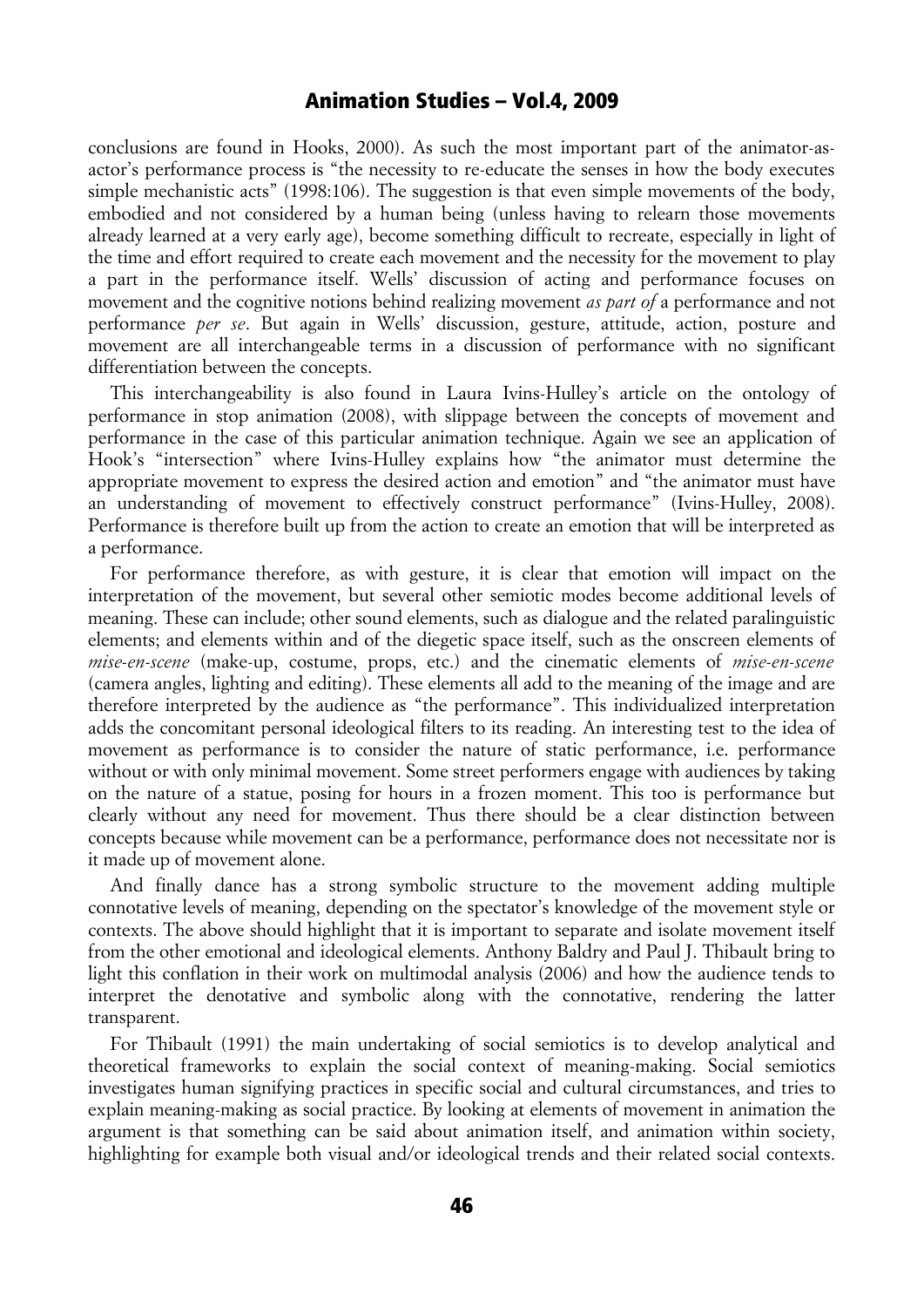conclusions are found in Hooks, 2000). As such the most important part of the animator-asactor's performance process is "the necessity to re-educate the senses in how the body executes simple mechanistic acts" (1998:106). The suggestion is that even simple movements of the body, embodied and not considered by a human being (unless having to relearn those movements already learned at a very early age), become something difficult to recreate, especially in light of the time and effort required to create each movement and the necessity for the movement to play a part in the performance itself. Wells' discussion of acting and performance focuses on movement and the cognitive notions behind realizing movement *as part of* a performance and not performance *per se*. But again in Wells' discussion, gesture, attitude, action, posture and movement are all interchangeable terms in a discussion of performance with no significant differentiation between the concepts.

This interchangeability is also found in Laura Ivins-Hulley's article on the ontology of performance in stop animation (2008), with slippage between the concepts of movement and performance in the case of this particular animation technique. Again we see an application of Hook's "intersection" where Ivins-Hulley explains how "the animator must determine the appropriate movement to express the desired action and emotion" and "the animator must have an understanding of movement to effectively construct performance" (Ivins-Hulley, 2008). Performance is therefore built up from the action to create an emotion that will be interpreted as a performance.

For performance therefore, as with gesture, it is clear that emotion will impact on the interpretation of the movement, but several other semiotic modes become additional levels of meaning. These can include; other sound elements, such as dialogue and the related paralinguistic elements; and elements within and of the diegetic space itself, such as the onscreen elements of *mise-en-scene* (make-up, costume, props, etc.) and the cinematic elements of *mise-en-scene* (camera angles, lighting and editing). These elements all add to the meaning of the image and are therefore interpreted by the audience as "the performance". This individualized interpretation adds the concomitant personal ideological filters to its reading. An interesting test to the idea of movement as performance is to consider the nature of static performance, i.e. performance without or with only minimal movement. Some street performers engage with audiences by taking on the nature of a statue, posing for hours in a frozen moment. This too is performance but clearly without any need for movement. Thus there should be a clear distinction between concepts because while movement can be a performance, performance does not necessitate nor is it made up of movement alone.

And finally dance has a strong symbolic structure to the movement adding multiple connotative levels of meaning, depending on the spectator's knowledge of the movement style or contexts. The above should highlight that it is important to separate and isolate movement itself from the other emotional and ideological elements. Anthony Baldry and Paul J. Thibault bring to light this conflation in their work on multimodal analysis (2006) and how the audience tends to interpret the denotative and symbolic along with the connotative, rendering the latter transparent.

For Thibault (1991) the main undertaking of social semiotics is to develop analytical and theoretical frameworks to explain the social context of meaning-making. Social semiotics investigates human signifying practices in specific social and cultural circumstances, and tries to explain meaning-making as social practice. By looking at elements of movement in animation the argument is that something can be said about animation itself, and animation within society, highlighting for example both visual and/or ideological trends and their related social contexts.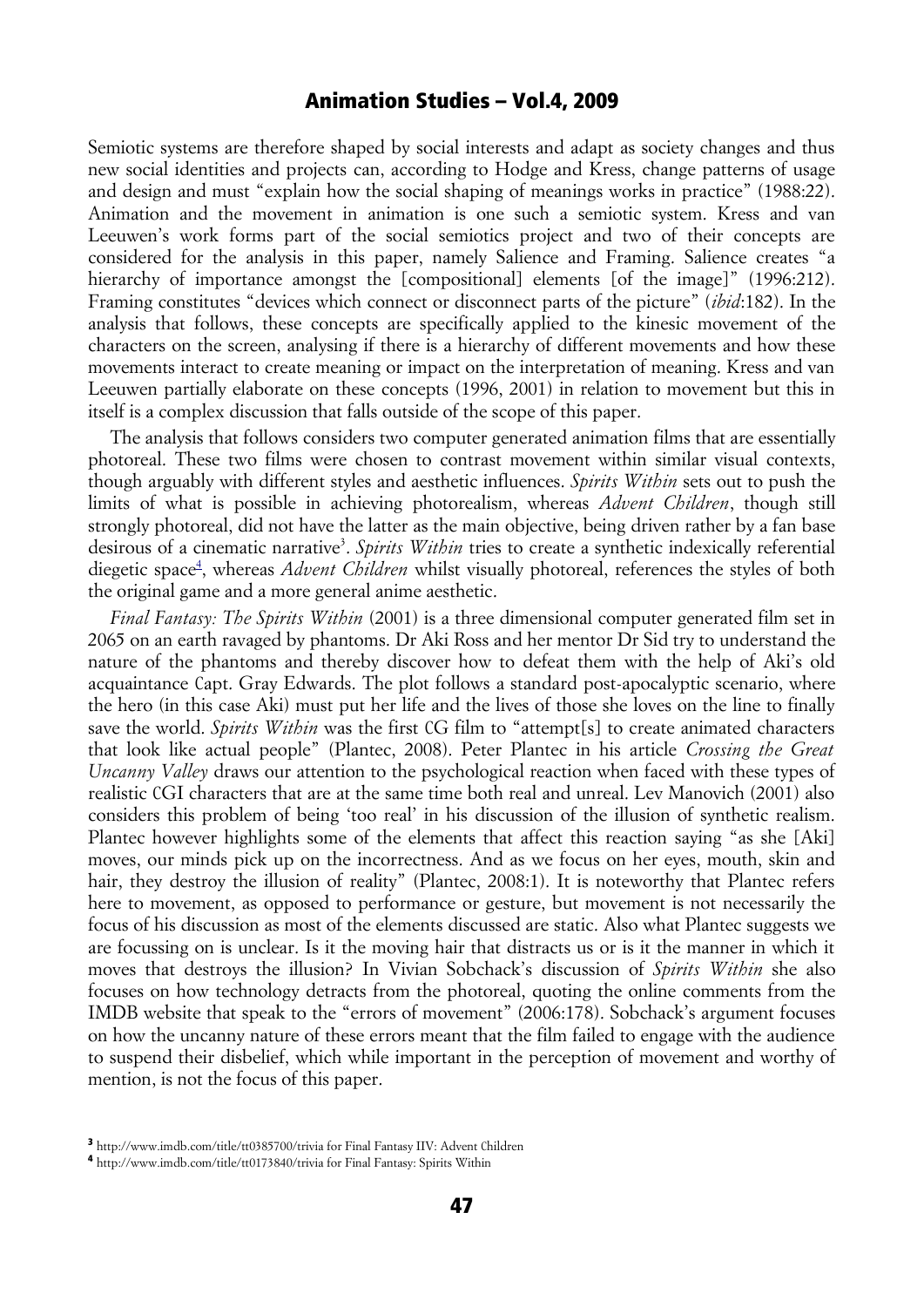Semiotic systems are therefore shaped by social interests and adapt as society changes and thus new social identities and projects can, according to Hodge and Kress, change patterns of usage and design and must "explain how the social shaping of meanings works in practice" (1988:22). Animation and the movement in animation is one such a semiotic system. Kress and van Leeuwen's work forms part of the social semiotics project and two of their concepts are considered for the analysis in this paper, namely Salience and Framing. Salience creates "a hierarchy of importance amongst the [compositional] elements [of the image]" (1996:212). Framing constitutes "devices which connect or disconnect parts of the picture" (*ibid*:182). In the analysis that follows, these concepts are specifically applied to the kinesic movement of the characters on the screen, analysing if there is a hierarchy of different movements and how these movements interact to create meaning or impact on the interpretation of meaning. Kress and van Leeuwen partially elaborate on these concepts (1996, 2001) in relation to movement but this in itself is a complex discussion that falls outside of the scope of this paper.

The analysis that follows considers two computer generated animation films that are essentially photoreal. These two films were chosen to contrast movement within similar visual contexts, though arguably with different styles and aesthetic influences. *Spirits Within* sets out to push the limits of what is possible in achieving photorealism, whereas *Advent Children*, though still strongly photoreal, did not have the latter as the main objective, being driven rather by a fan base desirous of a cinematic narrative<sup>3</sup>. Spirits Within tries to create a synthetic indexically referential diegetic space<sup>4</sup>, whereas *Advent Children* whilst visually photoreal, references the styles of both the original game and a more general anime aesthetic.

*Final Fantasy: The Spirits Within* (2001) is a three dimensional computer generated film set in 2065 on an earth ravaged by phantoms. Dr Aki Ross and her mentor Dr Sid try to understand the nature of the phantoms and thereby discover how to defeat them with the help of Aki's old acquaintance Capt. Gray Edwards. The plot follows a standard post-apocalyptic scenario, where the hero (in this case Aki) must put her life and the lives of those she loves on the line to finally save the world. *Spirits Within* was the first CG film to "attempt[s] to create animated characters that look like actual people" (Plantec, 2008). Peter Plantec in his article *Crossing the Great Uncanny Valley* draws our attention to the psychological reaction when faced with these types of realistic CGI characters that are at the same time both real and unreal. Lev Manovich (2001) also considers this problem of being 'too real' in his discussion of the illusion of synthetic realism. Plantec however highlights some of the elements that affect this reaction saying "as she [Aki] moves, our minds pick up on the incorrectness. And as we focus on her eyes, mouth, skin and hair, they destroy the illusion of reality" (Plantec, 2008:1). It is noteworthy that Plantec refers here to movement, as opposed to performance or gesture, but movement is not necessarily the focus of his discussion as most of the elements discussed are static. Also what Plantec suggests we are focussing on is unclear. Is it the moving hair that distracts us or is it the manner in which it moves that destroys the illusion? In Vivian Sobchack's discussion of *Spirits Within* she also focuses on how technology detracts from the photoreal, quoting the online comments from the IMDB website that speak to the "errors of movement" (2006:178). Sobchack's argument focuses on how the uncanny nature of these errors meant that the film failed to engage with the audience to suspend their disbelief, which while important in the perception of movement and worthy of mention, is not the focus of this paper.

<sup>3</sup> http://www.imdb.com/title/tt0385700/trivia for Final Fantasy IIV: Advent Children

<sup>4</sup> http://www.imdb.com/title/tt0173840/trivia for Final Fantasy: Spirits Within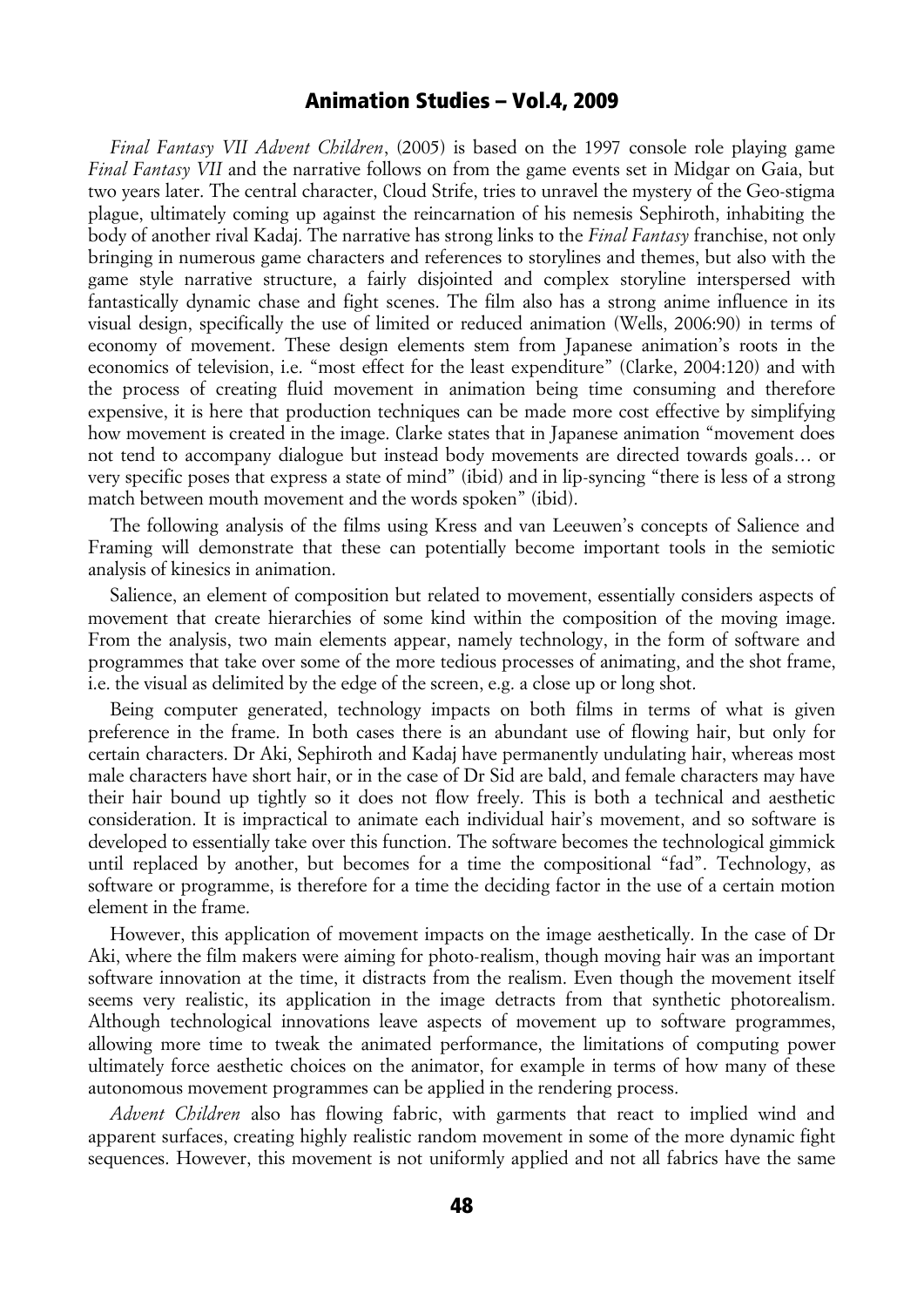*Final Fantasy VII Advent Children*, (2005) is based on the 1997 console role playing game *Final Fantasy VII* and the narrative follows on from the game events set in Midgar on Gaia, but two years later. The central character, Cloud Strife, tries to unravel the mystery of the Geo-stigma plague, ultimately coming up against the reincarnation of his nemesis Sephiroth, inhabiting the body of another rival Kadaj. The narrative has strong links to the *Final Fantasy* franchise, not only bringing in numerous game characters and references to storylines and themes, but also with the game style narrative structure, a fairly disjointed and complex storyline interspersed with fantastically dynamic chase and fight scenes. The film also has a strong anime influence in its visual design, specifically the use of limited or reduced animation (Wells, 2006:90) in terms of economy of movement. These design elements stem from Japanese animation's roots in the economics of television, i.e. "most effect for the least expenditure" (Clarke, 2004:120) and with the process of creating fluid movement in animation being time consuming and therefore expensive, it is here that production techniques can be made more cost effective by simplifying how movement is created in the image. Clarke states that in Japanese animation "movement does not tend to accompany dialogue but instead body movements are directed towards goals… or very specific poses that express a state of mind" (ibid) and in lip-syncing "there is less of a strong match between mouth movement and the words spoken" (ibid).

The following analysis of the films using Kress and van Leeuwen's concepts of Salience and Framing will demonstrate that these can potentially become important tools in the semiotic analysis of kinesics in animation.

Salience, an element of composition but related to movement, essentially considers aspects of movement that create hierarchies of some kind within the composition of the moving image. From the analysis, two main elements appear, namely technology, in the form of software and programmes that take over some of the more tedious processes of animating, and the shot frame, i.e. the visual as delimited by the edge of the screen, e.g. a close up or long shot.

Being computer generated, technology impacts on both films in terms of what is given preference in the frame. In both cases there is an abundant use of flowing hair, but only for certain characters. Dr Aki, Sephiroth and Kadaj have permanently undulating hair, whereas most male characters have short hair, or in the case of Dr Sid are bald, and female characters may have their hair bound up tightly so it does not flow freely. This is both a technical and aesthetic consideration. It is impractical to animate each individual hair's movement, and so software is developed to essentially take over this function. The software becomes the technological gimmick until replaced by another, but becomes for a time the compositional "fad". Technology, as software or programme, is therefore for a time the deciding factor in the use of a certain motion element in the frame.

However, this application of movement impacts on the image aesthetically. In the case of Dr Aki, where the film makers were aiming for photo-realism, though moving hair was an important software innovation at the time, it distracts from the realism. Even though the movement itself seems very realistic, its application in the image detracts from that synthetic photorealism. Although technological innovations leave aspects of movement up to software programmes, allowing more time to tweak the animated performance, the limitations of computing power ultimately force aesthetic choices on the animator, for example in terms of how many of these autonomous movement programmes can be applied in the rendering process.

*Advent Children* also has flowing fabric, with garments that react to implied wind and apparent surfaces, creating highly realistic random movement in some of the more dynamic fight sequences. However, this movement is not uniformly applied and not all fabrics have the same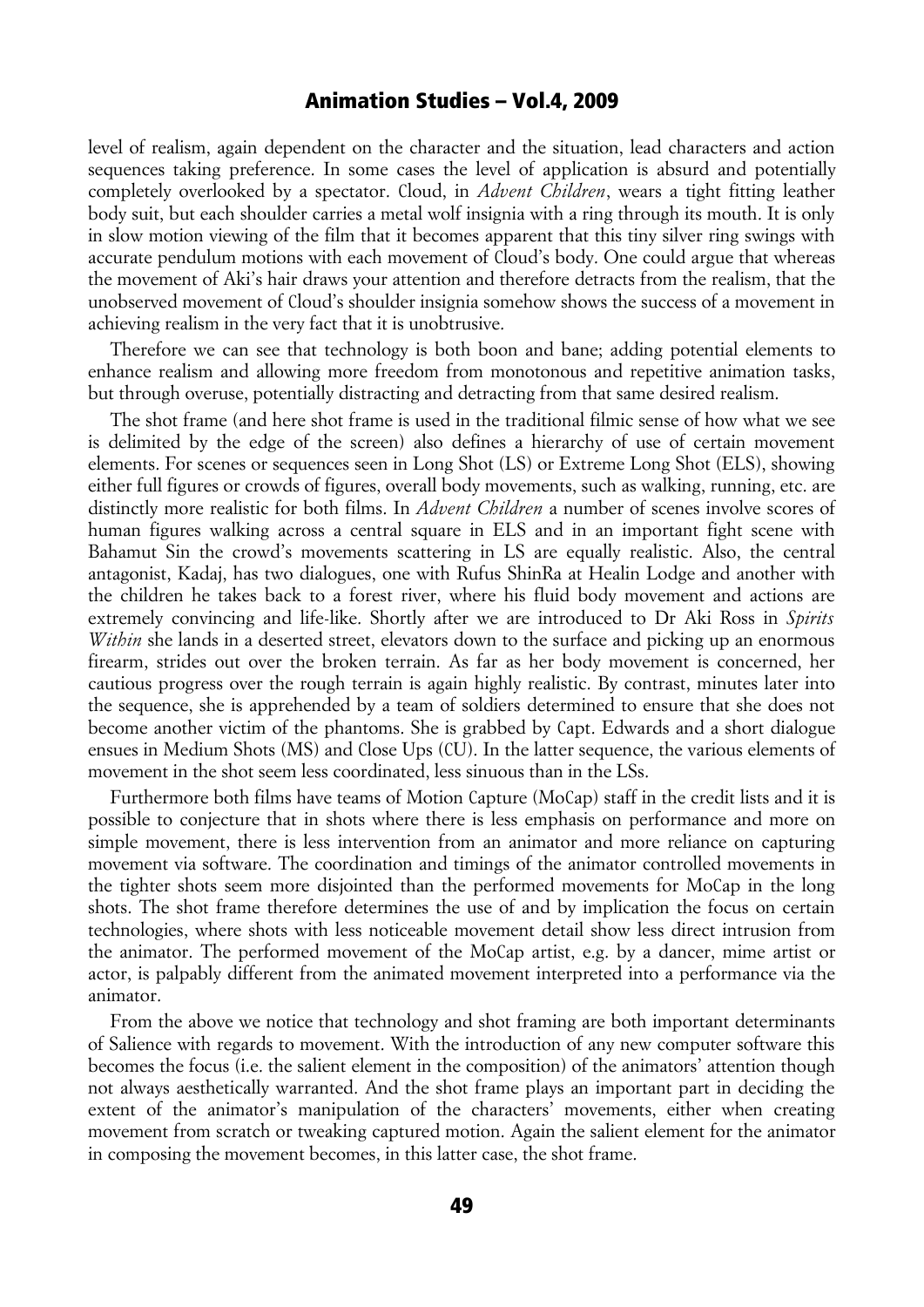level of realism, again dependent on the character and the situation, lead characters and action sequences taking preference. In some cases the level of application is absurd and potentially completely overlooked by a spectator. Cloud, in *Advent Children*, wears a tight fitting leather body suit, but each shoulder carries a metal wolf insignia with a ring through its mouth. It is only in slow motion viewing of the film that it becomes apparent that this tiny silver ring swings with accurate pendulum motions with each movement of Cloud's body. One could argue that whereas the movement of Aki's hair draws your attention and therefore detracts from the realism, that the unobserved movement of Cloud's shoulder insignia somehow shows the success of a movement in achieving realism in the very fact that it is unobtrusive.

Therefore we can see that technology is both boon and bane; adding potential elements to enhance realism and allowing more freedom from monotonous and repetitive animation tasks, but through overuse, potentially distracting and detracting from that same desired realism.

The shot frame (and here shot frame is used in the traditional filmic sense of how what we see is delimited by the edge of the screen) also defines a hierarchy of use of certain movement elements. For scenes or sequences seen in Long Shot (LS) or Extreme Long Shot (ELS), showing either full figures or crowds of figures, overall body movements, such as walking, running, etc. are distinctly more realistic for both films. In *Advent Children* a number of scenes involve scores of human figures walking across a central square in ELS and in an important fight scene with Bahamut Sin the crowd's movements scattering in LS are equally realistic. Also, the central antagonist, Kadaj, has two dialogues, one with Rufus ShinRa at Healin Lodge and another with the children he takes back to a forest river, where his fluid body movement and actions are extremely convincing and life-like. Shortly after we are introduced to Dr Aki Ross in *Spirits Within* she lands in a deserted street, elevators down to the surface and picking up an enormous firearm, strides out over the broken terrain. As far as her body movement is concerned, her cautious progress over the rough terrain is again highly realistic. By contrast, minutes later into the sequence, she is apprehended by a team of soldiers determined to ensure that she does not become another victim of the phantoms. She is grabbed by Capt. Edwards and a short dialogue ensues in Medium Shots (MS) and Close Ups (CU). In the latter sequence, the various elements of movement in the shot seem less coordinated, less sinuous than in the LSs.

Furthermore both films have teams of Motion Capture (MoCap) staff in the credit lists and it is possible to conjecture that in shots where there is less emphasis on performance and more on simple movement, there is less intervention from an animator and more reliance on capturing movement via software. The coordination and timings of the animator controlled movements in the tighter shots seem more disjointed than the performed movements for MoCap in the long shots. The shot frame therefore determines the use of and by implication the focus on certain technologies, where shots with less noticeable movement detail show less direct intrusion from the animator. The performed movement of the MoCap artist, e.g. by a dancer, mime artist or actor, is palpably different from the animated movement interpreted into a performance via the animator.

From the above we notice that technology and shot framing are both important determinants of Salience with regards to movement. With the introduction of any new computer software this becomes the focus (i.e. the salient element in the composition) of the animators' attention though not always aesthetically warranted. And the shot frame plays an important part in deciding the extent of the animator's manipulation of the characters' movements, either when creating movement from scratch or tweaking captured motion. Again the salient element for the animator in composing the movement becomes, in this latter case, the shot frame.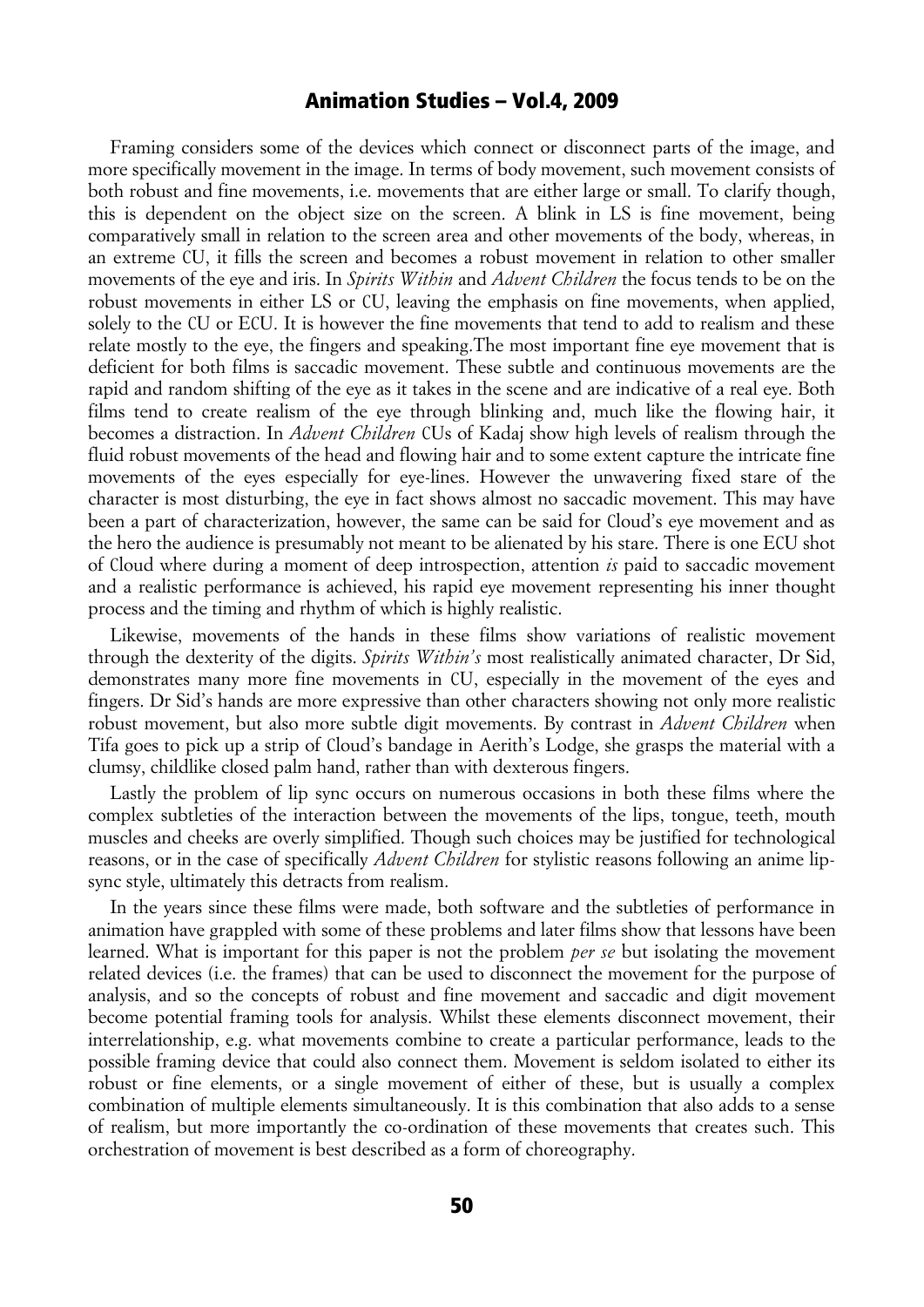Framing considers some of the devices which connect or disconnect parts of the image, and more specifically movement in the image. In terms of body movement, such movement consists of both robust and fine movements, i.e. movements that are either large or small. To clarify though, this is dependent on the object size on the screen. A blink in LS is fine movement, being comparatively small in relation to the screen area and other movements of the body, whereas, in an extreme CU, it fills the screen and becomes a robust movement in relation to other smaller movements of the eye and iris. In *Spirits Within* and *Advent Children* the focus tends to be on the robust movements in either LS or CU, leaving the emphasis on fine movements, when applied, solely to the CU or ECU. It is however the fine movements that tend to add to realism and these relate mostly to the eye, the fingers and speaking.The most important fine eye movement that is deficient for both films is saccadic movement. These subtle and continuous movements are the rapid and random shifting of the eye as it takes in the scene and are indicative of a real eye. Both films tend to create realism of the eye through blinking and, much like the flowing hair, it becomes a distraction. In *Advent Children* CUs of Kadaj show high levels of realism through the fluid robust movements of the head and flowing hair and to some extent capture the intricate fine movements of the eyes especially for eye-lines. However the unwavering fixed stare of the character is most disturbing, the eye in fact shows almost no saccadic movement. This may have been a part of characterization, however, the same can be said for Cloud's eye movement and as the hero the audience is presumably not meant to be alienated by his stare. There is one ECU shot of Cloud where during a moment of deep introspection, attention *is* paid to saccadic movement and a realistic performance is achieved, his rapid eye movement representing his inner thought process and the timing and rhythm of which is highly realistic.

Likewise, movements of the hands in these films show variations of realistic movement through the dexterity of the digits. *Spirits Within's* most realistically animated character, Dr Sid, demonstrates many more fine movements in CU, especially in the movement of the eyes and fingers. Dr Sid's hands are more expressive than other characters showing not only more realistic robust movement, but also more subtle digit movements. By contrast in *Advent Children* when Tifa goes to pick up a strip of Cloud's bandage in Aerith's Lodge, she grasps the material with a clumsy, childlike closed palm hand, rather than with dexterous fingers.

Lastly the problem of lip sync occurs on numerous occasions in both these films where the complex subtleties of the interaction between the movements of the lips, tongue, teeth, mouth muscles and cheeks are overly simplified. Though such choices may be justified for technological reasons, or in the case of specifically *Advent Children* for stylistic reasons following an anime lipsync style, ultimately this detracts from realism.

In the years since these films were made, both software and the subtleties of performance in animation have grappled with some of these problems and later films show that lessons have been learned. What is important for this paper is not the problem *per se* but isolating the movement related devices (i.e. the frames) that can be used to disconnect the movement for the purpose of analysis, and so the concepts of robust and fine movement and saccadic and digit movement become potential framing tools for analysis. Whilst these elements disconnect movement, their interrelationship, e.g. what movements combine to create a particular performance, leads to the possible framing device that could also connect them. Movement is seldom isolated to either its robust or fine elements, or a single movement of either of these, but is usually a complex combination of multiple elements simultaneously. It is this combination that also adds to a sense of realism, but more importantly the co-ordination of these movements that creates such. This orchestration of movement is best described as a form of choreography.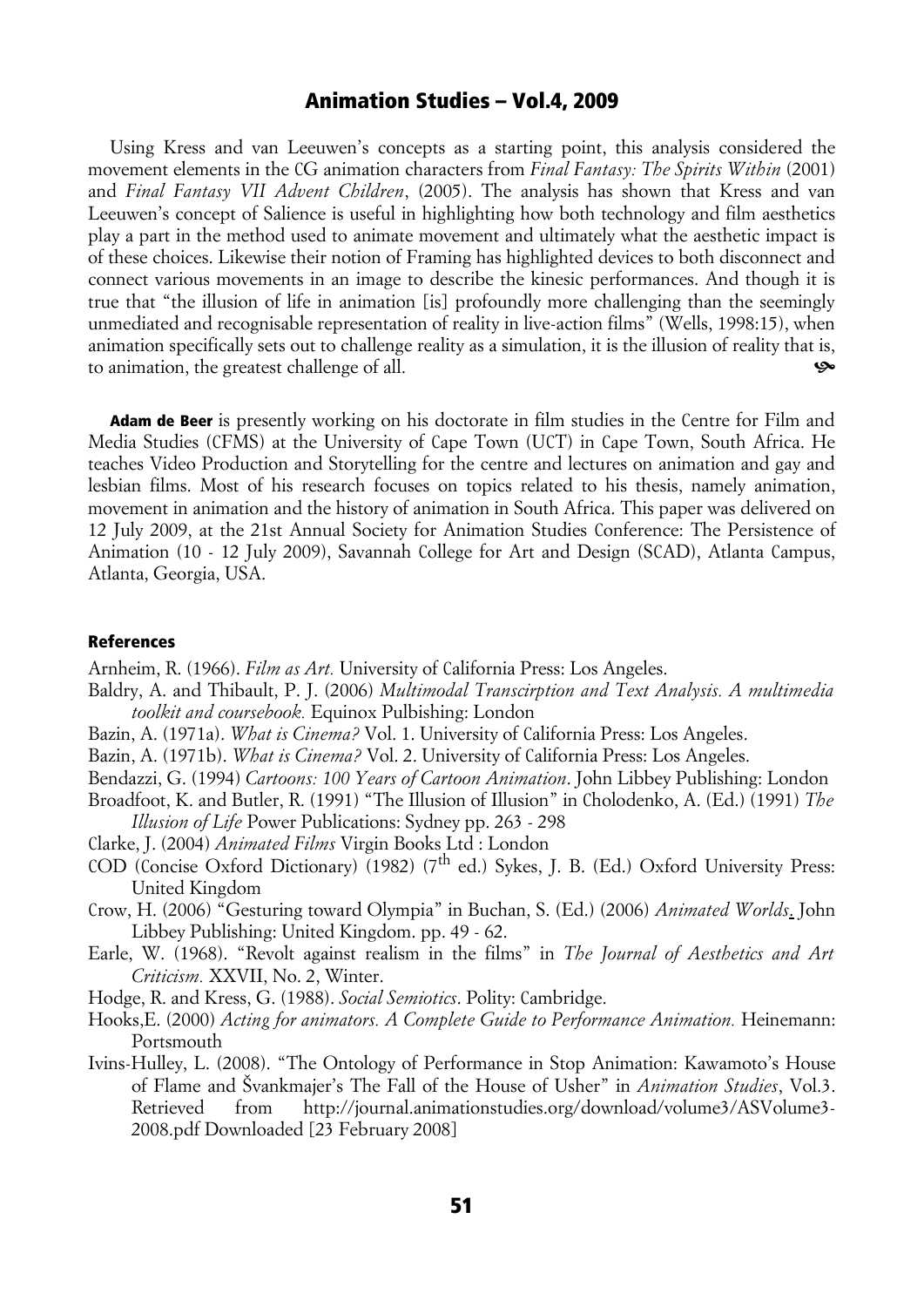Using Kress and van Leeuwen's concepts as a starting point, this analysis considered the movement elements in the CG animation characters from *Final Fantasy: The Spirits Within* (2001) and *Final Fantasy VII Advent Children*, (2005). The analysis has shown that Kress and van Leeuwen's concept of Salience is useful in highlighting how both technology and film aesthetics play a part in the method used to animate movement and ultimately what the aesthetic impact is of these choices. Likewise their notion of Framing has highlighted devices to both disconnect and connect various movements in an image to describe the kinesic performances. And though it is true that "the illusion of life in animation [is] profoundly more challenging than the seemingly unmediated and recognisable representation of reality in live-action films" (Wells, 1998:15), when animation specifically sets out to challenge reality as a simulation, it is the illusion of reality that is, to animation, the greatest challenge of all.

Adam de Beer is presently working on his doctorate in film studies in the Centre for Film and Media Studies (CFMS) at the University of Cape Town (UCT) in Cape Town, South Africa. He teaches Video Production and Storytelling for the centre and lectures on animation and gay and lesbian films. Most of his research focuses on topics related to his thesis, namely animation, movement in animation and the history of animation in South Africa. This paper was delivered on 12 July 2009, at the 21st Annual Society for Animation Studies Conference: The Persistence of Animation (10 - 12 July 2009), Savannah College for Art and Design (SCAD), Atlanta Campus, Atlanta, Georgia, USA.

#### References

- Arnheim, R. (1966). *Film as Art.* University of California Press: Los Angeles.
- Baldry, A. and Thibault, P. J. (2006) *Multimodal Transcirption and Text Analysis. A multimedia toolkit and coursebook.* Equinox Pulbishing: London
- Bazin, A. (1971a). *What is Cinema?* Vol. 1. University of California Press: Los Angeles.
- Bazin, A. (1971b). *What is Cinema?* Vol. 2. University of California Press: Los Angeles.
- Bendazzi, G. (1994) *Cartoons: 100 Years of Cartoon Animation*. John Libbey Publishing: London
- Broadfoot, K. and Butler, R. (1991) "The Illusion of Illusion" in Cholodenko, A. (Ed.) (1991) *The Illusion of Life* Power Publications: Sydney pp. 263 - 298
- Clarke, J. (2004) *Animated Films* Virgin Books Ltd : London
- COD (Concise Oxford Dictionary) (1982) ( $7<sup>th</sup>$  ed.) Sykes, J. B. (Ed.) Oxford University Press: United Kingdom
- Crow, H. (2006) "Gesturing toward Olympia" in Buchan, S. (Ed.) (2006) *Animated Worlds*. John Libbey Publishing: United Kingdom. pp. 49 - 62.
- Earle, W. (1968). "Revolt against realism in the films" in *The Journal of Aesthetics and Art Criticism.* XXVII, No. 2, Winter.
- Hodge, R. and Kress, G. (1988). *Social Semiotics*. Polity: Cambridge.
- Hooks,E. (2000) *Acting for animators. A Complete Guide to Performance Animation.* Heinemann: Portsmouth
- Ivins-Hulley, L. (2008). "The Ontology of Performance in Stop Animation: Kawamoto's House of Flame and Švankmajer's The Fall of the House of Usher" in *Animation Studies*, Vol.3. Retrieved from http://journal.animationstudies.org/download/volume3/ASVolume3- 2008.pdf Downloaded [23 February 2008]